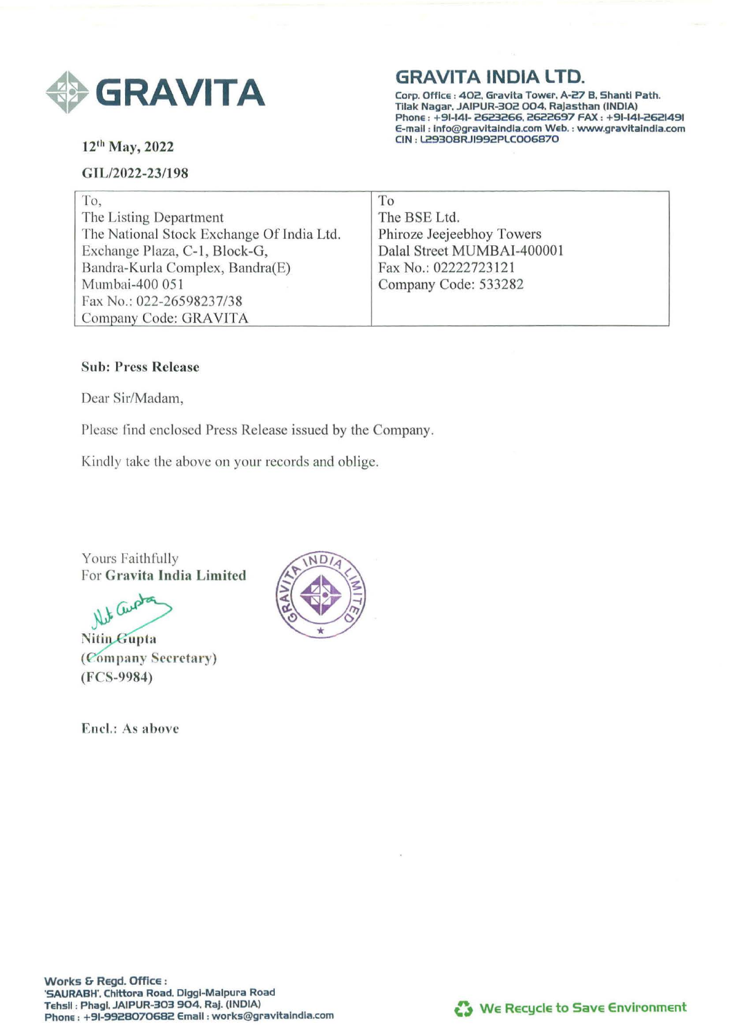

12th May, 2022

## GIL/2022-23/198

# **GRAVITA INDIA LTD.**

Corp. Office : 402, Gravlta Tower, A-27 B. Shantl Path. Tilak Nagar, JAIPUR-302 004. Rajasthan (INDIA) Phone : +91-141- 2623266, 2622697 FAX : +91-141-2621491 E-mail : lnfo@gravltalndla.com Web. : www.gravltalndla.com CIN : l.29308RJI992PLC006870

| To,                                       | To                         |
|-------------------------------------------|----------------------------|
| The Listing Department                    | The BSE Ltd.               |
| The National Stock Exchange Of India Ltd. | Phiroze Jeejeebhoy Towers  |
| Exchange Plaza, C-1, Block-G,             | Dalal Street MUMBAI-400001 |
| Bandra-Kurla Complex, Bandra(E)           | Fax No.: 02222723121       |
| Mumbai-400 051                            | Company Code: 533282       |
| Fax No.: 022-26598237/38                  |                            |
| Company Code: GRAVITA                     |                            |

## Sub: Press Release

Dear Sir/Madam,

Please find enclosed Press Release issued by the Company.

Kindly take the above on your records and oblige.

Yours Faithfully For Gravita India Limited

Net Cerpton

Nitin Gupta (Company Secretary) (FCS-9984)

Encl.: As above